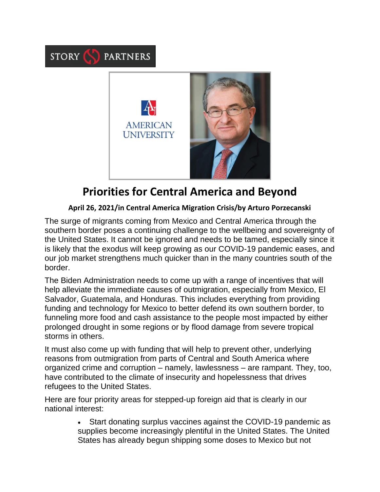

STORY SPARTNERS

## **Priorities for Central America and Beyond**

## **April 26, 2021/in Central America Migration Crisis/by Arturo Porzecanski**

The surge of migrants coming from Mexico and Central America through the southern border poses a continuing challenge to the wellbeing and sovereignty of the United States. It cannot be ignored and needs to be tamed, especially since it is likely that the exodus will keep growing as our COVID-19 pandemic eases, and our job market strengthens much quicker than in the many countries south of the border.

The Biden Administration needs to come up with a range of incentives that will help alleviate the immediate causes of outmigration, especially from Mexico, El Salvador, Guatemala, and Honduras. This includes everything from providing funding and technology for Mexico to better defend its own southern border, to funneling more food and cash assistance to the people most impacted by either prolonged drought in some regions or by flood damage from severe tropical storms in others.

It must also come up with funding that will help to prevent other, underlying reasons from outmigration from parts of Central and South America where organized crime and corruption – namely, lawlessness – are rampant. They, too, have contributed to the climate of insecurity and hopelessness that drives refugees to the United States.

Here are four priority areas for stepped-up foreign aid that is clearly in our national interest:

> • Start donating surplus vaccines against the COVID-19 pandemic as supplies become increasingly plentiful in the United States. The United States has already begun shipping some doses to Mexico but not